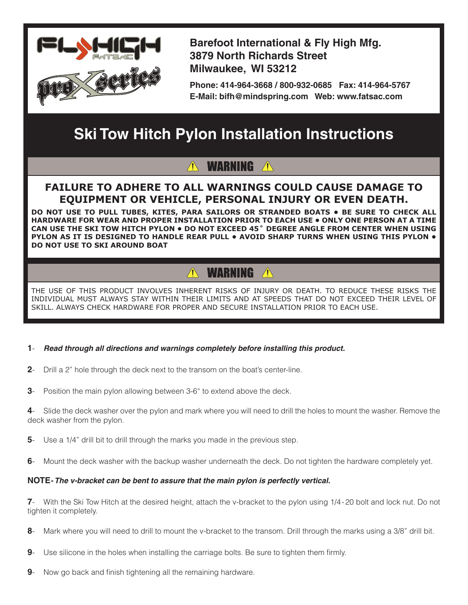

**Barefoot International & Fly High Mfg. 3879 North Richards Street Milwaukee, WI 53212**

**Phone: 414-964-3668 / 800-932-0685 Fax: 414-964-5767 E-Mail: bifh@mindspring.com Web: www.fatsac.com**

# **Ski Tow Hitch Pylon Installation Instructions**

## **WARNING**

### **FAILURE TO ADHERE TO ALL WARNINGS COULD CAUSE DAMAGE TO EQUIPMENT OR VEHICLE, PERSONAL INJURY OR EVEN DEATH.**

**DO NOT USE TO PULL TUBES, KITES, PARA SAILORS OR STRANDED BOATS • BE SURE TO CHECK ALL HARDWARE FOR WEAR AND PROPER INSTALLATION PRIOR TO EACH USE • Only one person at a time can use the ski TOW HITCH pylon • Do not exceed 45˚ degree angle from center when using pylon AS It is designed to handle rear pull • Avoid sharp turns when using this pylon • Do not use to ski around boat**

#### **WARNING A**  $\bigwedge$

THE USE OF THIS PRODUCT INVOLVES INHERENT RISKS OF INJURY OR DEATH. TO REDUCE THESE RISKS THE INDIVIDUAL MUST ALWAYS STAY WITHIN THEIR LIMITS AND AT SPEEDS THAT DO NOT EXCEED THEIR LEVEL OF SKILL. ALWAYS CHECK HARDWARE FOR PROPER AND SECURE INSTALLATION PRIOR TO EACH USE.

- **1** *Read through all directions and warnings completely before installing this product.*
- **2** Drill a 2" hole through the deck next to the transom on the boat's center-line.
- **3** Position the main pylon allowing between 3-6" to extend above the deck.

**4**- Slide the deck washer over the pylon and mark where you will need to drill the holes to mount the washer. Remove the deck washer from the pylon.

- **5** Use a 1/4" drill bit to drill through the marks you made in the previous step.
- **6** Mount the deck washer with the backup washer underneath the deck. Do not tighten the hardware completely yet.

#### **NOTE***- The v-bracket can be bent to assure that the main pylon is perfectly vertical.*

**7**- With the Ski Tow Hitch at the desired height, attach the v-bracket to the pylon using 1/4-20 bolt and lock nut. Do not tighten it completely.

- **8** Mark where you will need to drill to mount the v-bracket to the transom. Drill through the marks using a 3/8" drill bit.
- **9** Use silicone in the holes when installing the carriage bolts. Be sure to tighten them firmly.
- **9** Now go back and finish tightening all the remaining hardware.